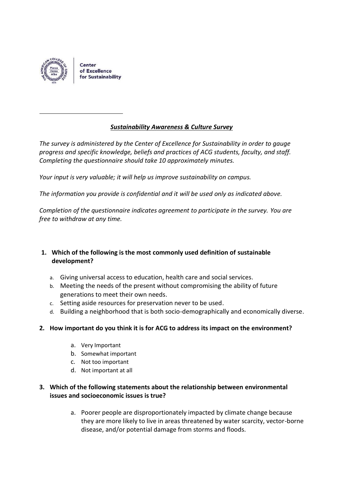

Center of Excellence for Sustainability

# *Sustainability Awareness & Culture Survey*

*The survey is administered by the Center of Excellence for Sustainability in order to gauge progress and specific knowledge, beliefs and practices of ACG students, faculty, and staff. Completing the questionnaire should take 10 approximately minutes.* 

*Your input is very valuable; it will help us improve sustainability on campus.*

*The information you provide is confidential and it will be used only as indicated above.* 

*Completion of the questionnaire indicates agreement to participate in the survey. You are free to withdraw at any time.*

## **1. Which of the following is the most commonly used definition of sustainable development?**

- a. Giving universal access to education, health care and social services.
- b. Meeting the needs of the present without compromising the ability of future generations to meet their own needs.
- c. Setting aside resources for preservation never to be used.
- d. Building a neighborhood that is both socio-demographically and economically diverse.

#### **2. How important do you think it is for ACG to address its impact on the environment?**

- a. Very Important
- b. Somewhat important
- c. Not too important
- d. Not important at all

## **3. Which of the following statements about the relationship between environmental issues and socioeconomic issues is true?**

a. Poorer people are disproportionately impacted by climate change because they are more likely to live in areas threatened by water scarcity, vector-borne disease, and/or potential damage from storms and floods.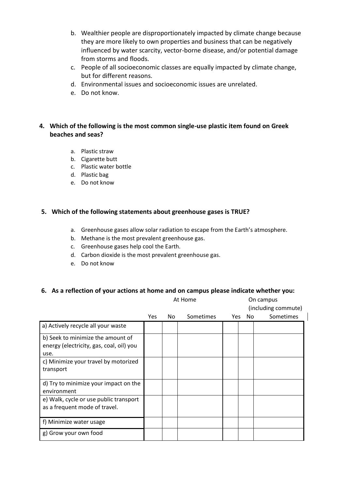- b. Wealthier people are disproportionately impacted by climate change because they are more likely to own properties and business that can be negatively influenced by water scarcity, vector-borne disease, and/or potential damage from storms and floods.
- c. People of all socioeconomic classes are equally impacted by climate change, but for different reasons.
- d. Environmental issues and socioeconomic issues are unrelated.
- e. Do not know.

### **4. Which of the following is the most common single-use plastic item found on Greek beaches and seas?**

- a. Plastic straw
- b. Cigarette butt
- c. Plastic water bottle
- d. Plastic bag
- e. Do not know

#### **5. Which of the following statements about greenhouse gases is TRUE?**

- a. Greenhouse gases allow solar radiation to escape from the Earth's atmosphere.
- b. Methane is the most prevalent greenhouse gas.
- c. Greenhouse gases help cool the Earth.
- d. Carbon dioxide is the most prevalent greenhouse gas.
- e. Do not know

#### **6. As a reflection of your actions at home and on campus please indicate whether you:**

|                                                                                       | At Home |    |           |     | On campus<br>(including commute) |           |  |
|---------------------------------------------------------------------------------------|---------|----|-----------|-----|----------------------------------|-----------|--|
|                                                                                       | Yes     | No | Sometimes | Yes | No.                              | Sometimes |  |
| a) Actively recycle all your waste                                                    |         |    |           |     |                                  |           |  |
| b) Seek to minimize the amount of<br>energy (electricity, gas, coal, oil) you<br>use. |         |    |           |     |                                  |           |  |
| c) Minimize your travel by motorized<br>transport                                     |         |    |           |     |                                  |           |  |
| d) Try to minimize your impact on the<br>environment                                  |         |    |           |     |                                  |           |  |
| e) Walk, cycle or use public transport<br>as a frequent mode of travel.               |         |    |           |     |                                  |           |  |
| f) Minimize water usage                                                               |         |    |           |     |                                  |           |  |
| g) Grow your own food                                                                 |         |    |           |     |                                  |           |  |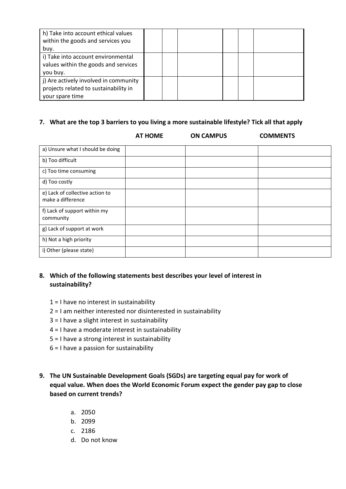| h) Take into account ethical values<br>within the goods and services you |  |  |  |
|--------------------------------------------------------------------------|--|--|--|
| buy.                                                                     |  |  |  |
| i) Take into account environmental                                       |  |  |  |
| values within the goods and services                                     |  |  |  |
| you buy.                                                                 |  |  |  |
| j) Are actively involved in community                                    |  |  |  |
| projects related to sustainability in                                    |  |  |  |
| your spare time                                                          |  |  |  |

#### **7. What are the top 3 barriers to you living a more sustainable lifestyle? Tick all that apply**

|                                  | <b>AT HOME</b> | <b>ON CAMPUS</b> | <b>COMMENTS</b> |
|----------------------------------|----------------|------------------|-----------------|
| a) Unsure what I should be doing |                |                  |                 |
| b) Too difficult                 |                |                  |                 |
| c) Too time consuming            |                |                  |                 |
| d) Too costly                    |                |                  |                 |
| e) Lack of collective action to  |                |                  |                 |
| make a difference                |                |                  |                 |
| f) Lack of support within my     |                |                  |                 |
| community                        |                |                  |                 |
| g) Lack of support at work       |                |                  |                 |
| h) Not a high priority           |                |                  |                 |
| i) Other (please state)          |                |                  |                 |

#### **8. Which of the following statements best describes your level of interest in sustainability?**

- 1 = I have no interest in sustainability
- 2 = I am neither interested nor disinterested in sustainability
- 3 = I have a slight interest in sustainability
- 4 = I have a moderate interest in sustainability
- 5 = I have a strong interest in sustainability
- 6 = I have a passion for sustainability
- **9. The UN Sustainable Development Goals (SGDs) are targeting equal pay for work of equal value. When does the World Economic Forum expect the gender pay gap to close based on current trends?**
	- a. 2050
	- b. 2099
	- c. 2186
	- d. Do not know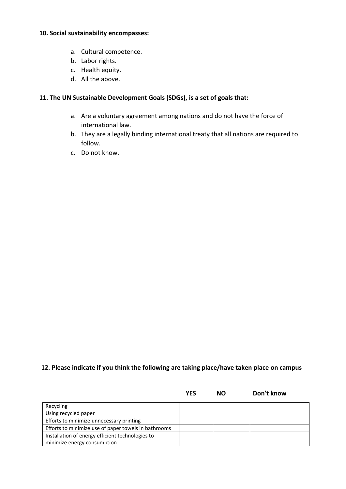#### **10. Social sustainability encompasses:**

- a. Cultural competence.
- b. Labor rights.
- c. Health equity.
- d. All the above.

## **11. The UN Sustainable Development Goals (SDGs), is a set of goals that:**

- a. Are a voluntary agreement among nations and do not have the force of international law.
- b. They are a legally binding international treaty that all nations are required to follow.
- c. Do not know.

#### **12. Please indicate if you think the following are taking place/have taken place on campus**

|                                                      | YFS | NO. | Don't know |
|------------------------------------------------------|-----|-----|------------|
| Recycling                                            |     |     |            |
| Using recycled paper                                 |     |     |            |
| Efforts to minimize unnecessary printing             |     |     |            |
| Efforts to minimize use of paper towels in bathrooms |     |     |            |
| Installation of energy efficient technologies to     |     |     |            |
| minimize energy consumption                          |     |     |            |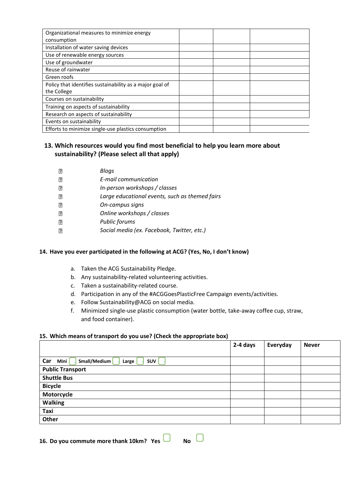| Organizational measures to minimize energy<br>consumption |  |
|-----------------------------------------------------------|--|
| Installation of water saving devices                      |  |
| Use of renewable energy sources                           |  |
| Use of groundwater                                        |  |
| Reuse of rainwater                                        |  |
| Green roofs                                               |  |
| Policy that identifies sustainability as a major goal of  |  |
| the College                                               |  |
| Courses on sustainability                                 |  |
| Training on aspects of sustainability                     |  |
| Research on aspects of sustainability                     |  |
| Events on sustainability                                  |  |
| Efforts to minimize single-use plastics consumption       |  |

## **13. Which resources would you find most beneficial to help you learn more about sustainability? (Please select all that apply)**

| 卪 | Blogs                                          |
|---|------------------------------------------------|
| R | E-mail communication                           |
| 卪 | In-person workshops / classes                  |
| R | Large educational events, such as themed fairs |
| 卪 | On-campus signs                                |
| R | Online workshops / classes                     |
| 卪 | <b>Public forums</b>                           |
| P | Social media (ex. Facebook, Twitter, etc.)     |

#### **14. Have you ever participated in the following at ACG? (Yes, No, I don't know)**

- a. Taken the ACG Sustainability Pledge.
- b. Any sustainability-related volunteering activities.
- c. Taken a sustainability-related course.
- d. Participation in any of the #ACGGoesPlasticFree Campaign events/activities.
- e. Follow Sustainability@ACG on social media.
- f. Minimized single-use plastic consumption (water bottle, take-away coffee cup, straw, and food container).

#### **15. Which means of transport do you use? (Check the appropriate box)**

|                                                    | 2-4 days | Everyday | <b>Never</b> |
|----------------------------------------------------|----------|----------|--------------|
|                                                    |          |          |              |
| Car<br>Small/Medium<br>Mini<br><b>SUV</b><br>Large |          |          |              |
| <b>Public Transport</b>                            |          |          |              |
| <b>Shuttle Bus</b>                                 |          |          |              |
| <b>Bicycle</b>                                     |          |          |              |
| Motorcycle                                         |          |          |              |
| <b>Walking</b>                                     |          |          |              |
| Taxi                                               |          |          |              |
| Other                                              |          |          |              |
|                                                    |          |          |              |

e

l

**16.** Do you commute more thank 10km? Yes **No** o ia o L ال<br>ا